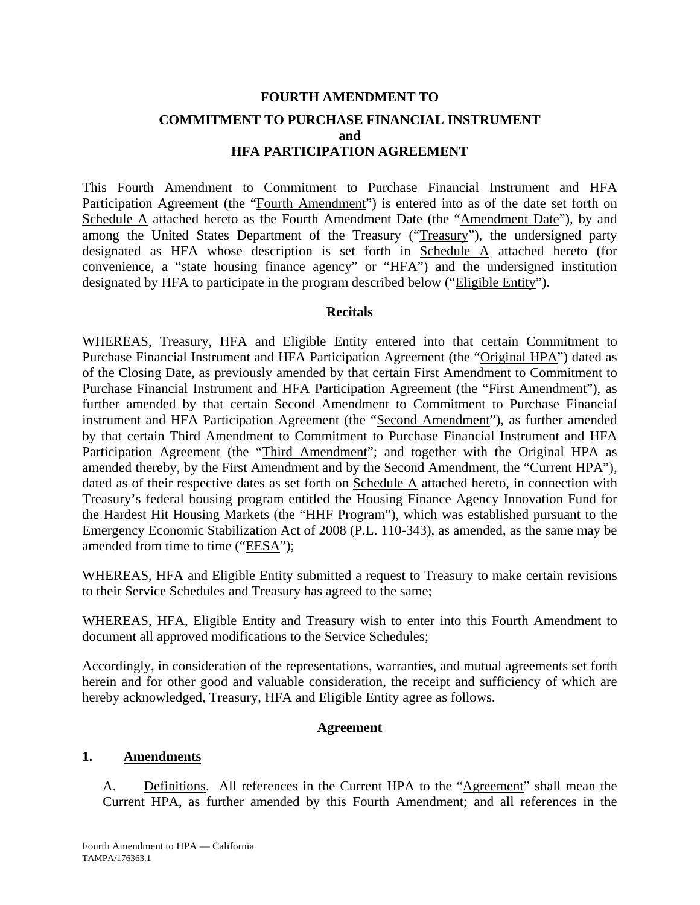# **FOURTH AMENDMENT TO COMMITMENT TO PURCHASE FINANCIAL INSTRUMENT and HFA PARTICIPATION AGREEMENT**

This Fourth Amendment to Commitment to Purchase Financial Instrument and HFA Participation Agreement (the "Fourth Amendment") is entered into as of the date set forth on Schedule A attached hereto as the Fourth Amendment Date (the "Amendment Date"), by and among the United States Department of the Treasury ("Treasury"), the undersigned party designated as HFA whose description is set forth in Schedule A attached hereto (for convenience, a "state housing finance agency" or "HFA") and the undersigned institution designated by HFA to participate in the program described below ("Eligible Entity").

#### **Recitals**

WHEREAS, Treasury, HFA and Eligible Entity entered into that certain Commitment to Purchase Financial Instrument and HFA Participation Agreement (the "Original HPA") dated as of the Closing Date, as previously amended by that certain First Amendment to Commitment to Purchase Financial Instrument and HFA Participation Agreement (the "First Amendment"), as further amended by that certain Second Amendment to Commitment to Purchase Financial instrument and HFA Participation Agreement (the "Second Amendment"), as further amended by that certain Third Amendment to Commitment to Purchase Financial Instrument and HFA Participation Agreement (the "Third Amendment"; and together with the Original HPA as amended thereby, by the First Amendment and by the Second Amendment, the "Current HPA"), dated as of their respective dates as set forth on Schedule A attached hereto, in connection with Treasury's federal housing program entitled the Housing Finance Agency Innovation Fund for the Hardest Hit Housing Markets (the "HHF Program"), which was established pursuant to the Emergency Economic Stabilization Act of 2008 (P.L. 110-343), as amended, as the same may be amended from time to time ("EESA");

WHEREAS, HFA and Eligible Entity submitted a request to Treasury to make certain revisions to their Service Schedules and Treasury has agreed to the same;

WHEREAS, HFA, Eligible Entity and Treasury wish to enter into this Fourth Amendment to document all approved modifications to the Service Schedules;

Accordingly, in consideration of the representations, warranties, and mutual agreements set forth herein and for other good and valuable consideration, the receipt and sufficiency of which are hereby acknowledged, Treasury, HFA and Eligible Entity agree as follows.

#### **Agreement**

#### **1. Amendments**

A. Definitions. All references in the Current HPA to the "Agreement" shall mean the Current HPA, as further amended by this Fourth Amendment; and all references in the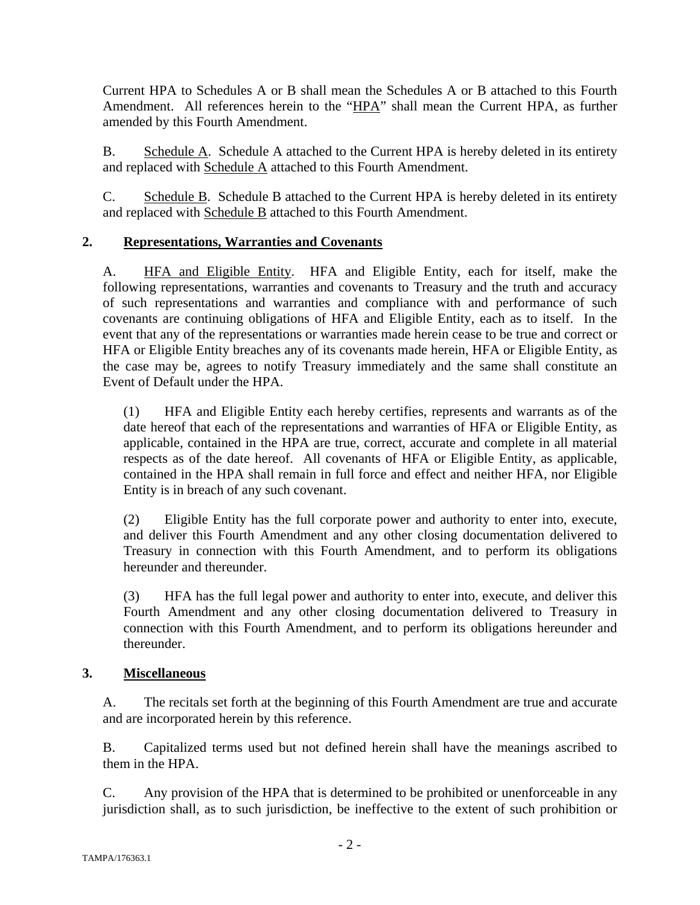Current HPA to Schedules A or B shall mean the Schedules A or B attached to this Fourth Amendment. All references herein to the "HPA" shall mean the Current HPA, as further amended by this Fourth Amendment.

B. Schedule A. Schedule A attached to the Current HPA is hereby deleted in its entirety and replaced with Schedule A attached to this Fourth Amendment.

C. Schedule B. Schedule B attached to the Current HPA is hereby deleted in its entirety and replaced with Schedule B attached to this Fourth Amendment.

# **2. Representations, Warranties and Covenants**

A. HFA and Eligible Entity. HFA and Eligible Entity, each for itself, make the following representations, warranties and covenants to Treasury and the truth and accuracy of such representations and warranties and compliance with and performance of such covenants are continuing obligations of HFA and Eligible Entity, each as to itself. In the event that any of the representations or warranties made herein cease to be true and correct or HFA or Eligible Entity breaches any of its covenants made herein, HFA or Eligible Entity, as the case may be, agrees to notify Treasury immediately and the same shall constitute an Event of Default under the HPA.

(1) HFA and Eligible Entity each hereby certifies, represents and warrants as of the date hereof that each of the representations and warranties of HFA or Eligible Entity, as applicable, contained in the HPA are true, correct, accurate and complete in all material respects as of the date hereof. All covenants of HFA or Eligible Entity, as applicable, contained in the HPA shall remain in full force and effect and neither HFA, nor Eligible Entity is in breach of any such covenant.

(2) Eligible Entity has the full corporate power and authority to enter into, execute, and deliver this Fourth Amendment and any other closing documentation delivered to Treasury in connection with this Fourth Amendment, and to perform its obligations hereunder and thereunder.

(3) HFA has the full legal power and authority to enter into, execute, and deliver this Fourth Amendment and any other closing documentation delivered to Treasury in connection with this Fourth Amendment, and to perform its obligations hereunder and thereunder.

### **3. Miscellaneous**

A. The recitals set forth at the beginning of this Fourth Amendment are true and accurate and are incorporated herein by this reference.

B. Capitalized terms used but not defined herein shall have the meanings ascribed to them in the HPA.

C. Any provision of the HPA that is determined to be prohibited or unenforceable in any jurisdiction shall, as to such jurisdiction, be ineffective to the extent of such prohibition or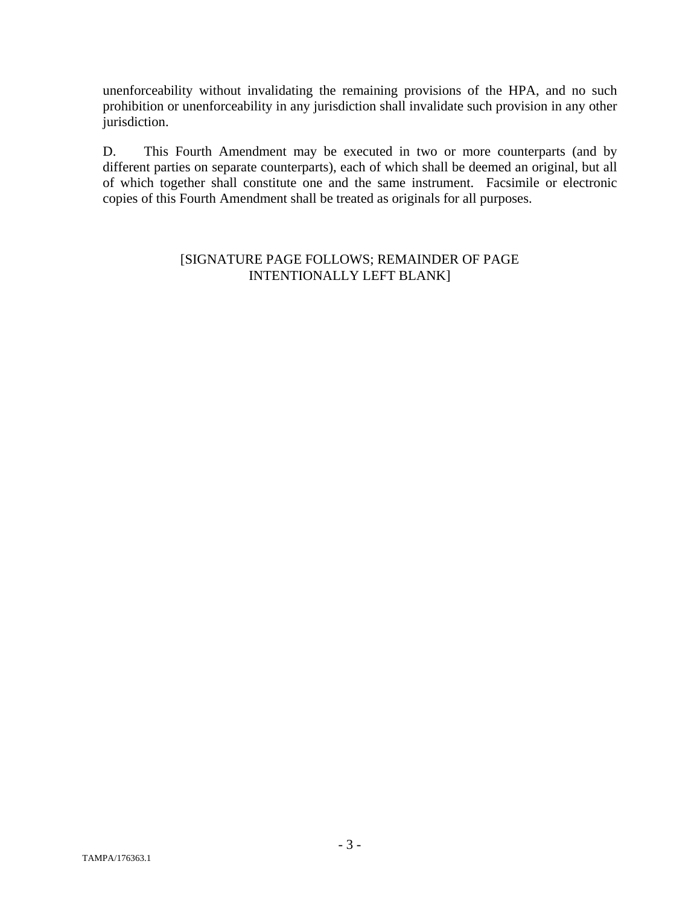unenforceability without invalidating the remaining provisions of the HPA, and no such prohibition or unenforceability in any jurisdiction shall invalidate such provision in any other jurisdiction.

D. This Fourth Amendment may be executed in two or more counterparts (and by different parties on separate counterparts), each of which shall be deemed an original, but all of which together shall constitute one and the same instrument. Facsimile or electronic copies of this Fourth Amendment shall be treated as originals for all purposes.

#### [SIGNATURE PAGE FOLLOWS; REMAINDER OF PAGE INTENTIONALLY LEFT BLANK]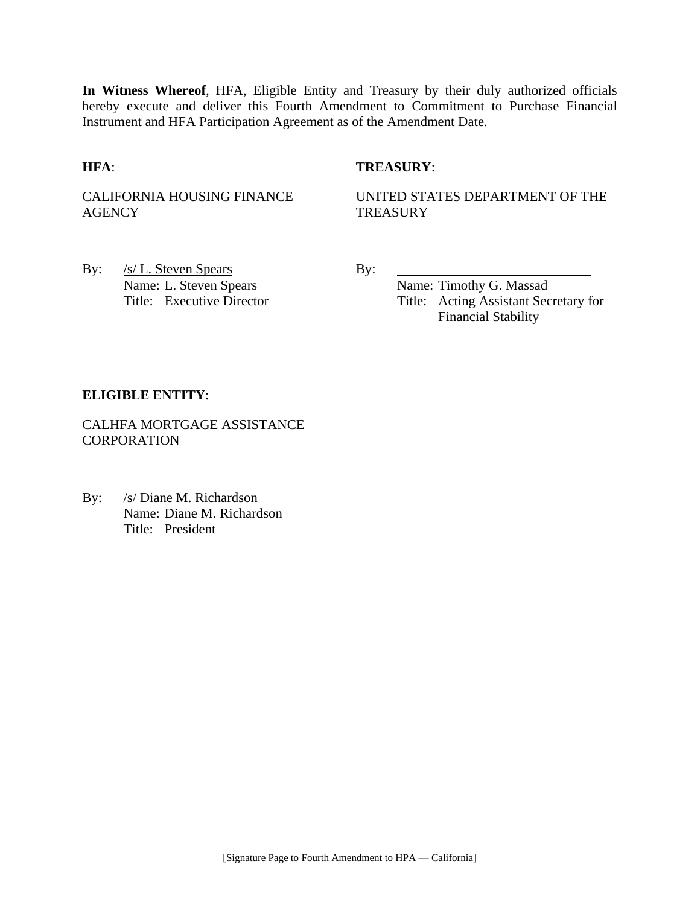**In Witness Whereof**, HFA, Eligible Entity and Treasury by their duly authorized officials hereby execute and deliver this Fourth Amendment to Commitment to Purchase Financial Instrument and HFA Participation Agreement as of the Amendment Date.

#### **HFA**: **TREASURY**:

CALIFORNIA HOUSING FINANCE **AGENCY** 

UNITED STATES DEPARTMENT OF THE **TREASURY** 

By: <u>/s/ L. Steven Spears</u> By: Name: L. Steven Spears Name: Timothy G. Massad

Title: Executive Director Title: Acting Assistant Secretary for Financial Stability

#### **ELIGIBLE ENTITY**:

CALHFA MORTGAGE ASSISTANCE **CORPORATION** 

By: /s/ Diane M. Richardson Name: Diane M. Richardson Title: President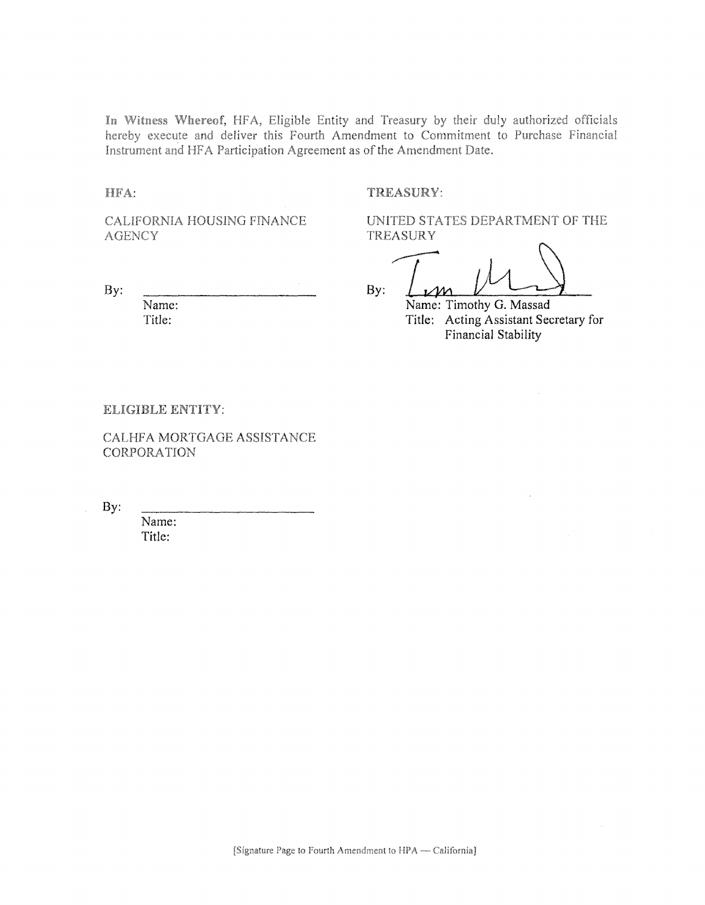In Witness Whereof, HFA, Eligible Entity and Treasury by their duly authorized officials hereby execute and deliver this Fourth Amendment to Commitment to Purchase Financial Instrument and HFA Participation Agreement as of the Amendment Date.

HFA:

#### TREASURY:

CALIFORNIA HOUSING FINANCE **AGENCY** 

By:

Name: Title:

UNITED STATES DEPARTMENT OF THE TREASURY

By:

Name: Timothy G. Massad Title: Acting Assistant Secretary for Financial Stability

#### ELIGIBLE ENTITY:

CALHFA MORTGAGE ASSISTANCE **CORPORATION** 

By:

Name: Title: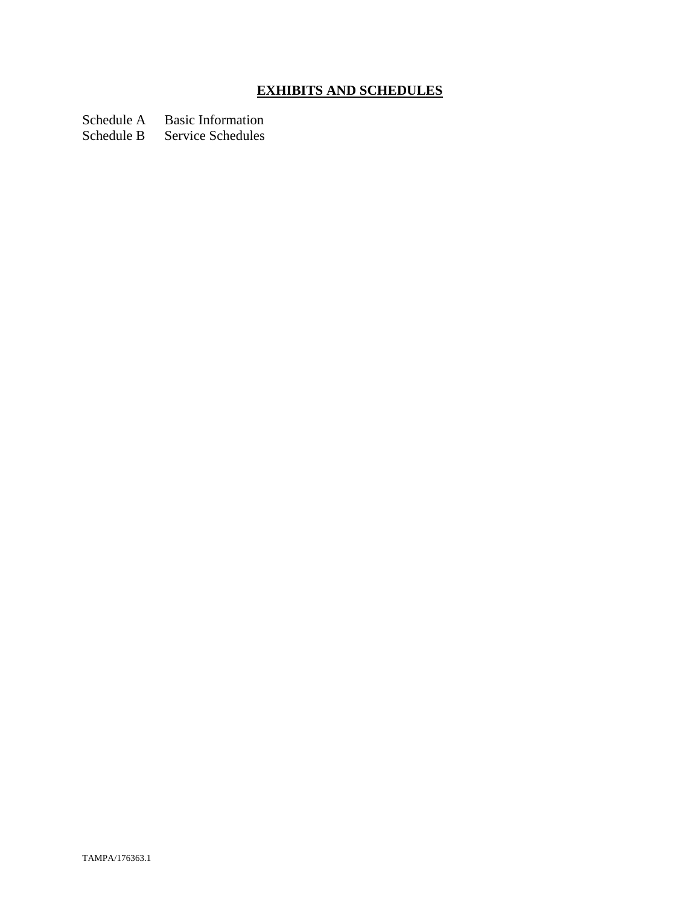# **EXHIBITS AND SCHEDULES**

Schedule A Basic Information<br>Schedule B Service Schedules

Service Schedules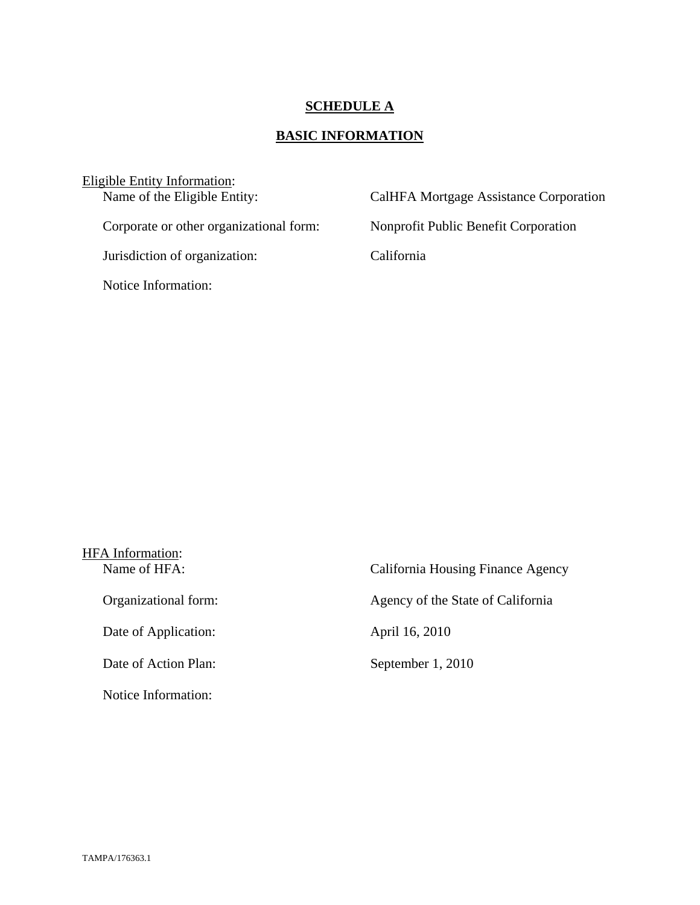# **SCHEDULE A**

# **BASIC INFORMATION**

| Eligible Entity Information:            |                                        |
|-----------------------------------------|----------------------------------------|
| Name of the Eligible Entity:            | CalHFA Mortgage Assistance Corporation |
|                                         |                                        |
| Corporate or other organizational form: | Nonprofit Public Benefit Corporation   |
|                                         |                                        |
| Jurisdiction of organization:           | California                             |
|                                         |                                        |
| Notice Information:                     |                                        |
|                                         |                                        |

| HFA Information:     |                                   |
|----------------------|-----------------------------------|
| Name of HFA:         | California Housing Finance Agency |
| Organizational form: | Agency of the State of California |
| Date of Application: | April 16, 2010                    |
| Date of Action Plan: | September 1, 2010                 |
| Notice Information:  |                                   |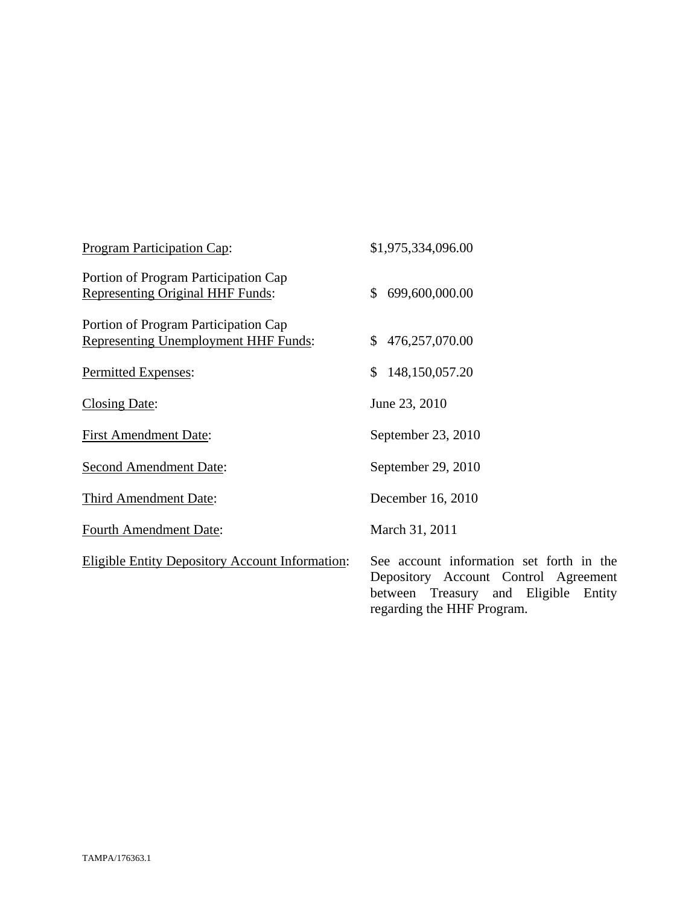| <b>Program Participation Cap:</b>                                               | \$1,975,334,096.00                                                                                                                                        |
|---------------------------------------------------------------------------------|-----------------------------------------------------------------------------------------------------------------------------------------------------------|
| Portion of Program Participation Cap<br><b>Representing Original HHF Funds:</b> | 699,600,000.00<br>$\mathbb{S}$                                                                                                                            |
| Portion of Program Participation Cap<br>Representing Unemployment HHF Funds:    | 476,257,070.00<br>\$                                                                                                                                      |
| Permitted Expenses:                                                             | 148,150,057.20<br>\$                                                                                                                                      |
| <b>Closing Date:</b>                                                            | June 23, 2010                                                                                                                                             |
| <b>First Amendment Date:</b>                                                    | September 23, 2010                                                                                                                                        |
| <b>Second Amendment Date:</b>                                                   | September 29, 2010                                                                                                                                        |
| Third Amendment Date:                                                           | December 16, 2010                                                                                                                                         |
| Fourth Amendment Date:                                                          | March 31, 2011                                                                                                                                            |
| <b>Eligible Entity Depository Account Information:</b>                          | See account information set forth in the<br>Depository Account Control Agreement<br>between Treasury and Eligible<br>Entity<br>regarding the HHF Program. |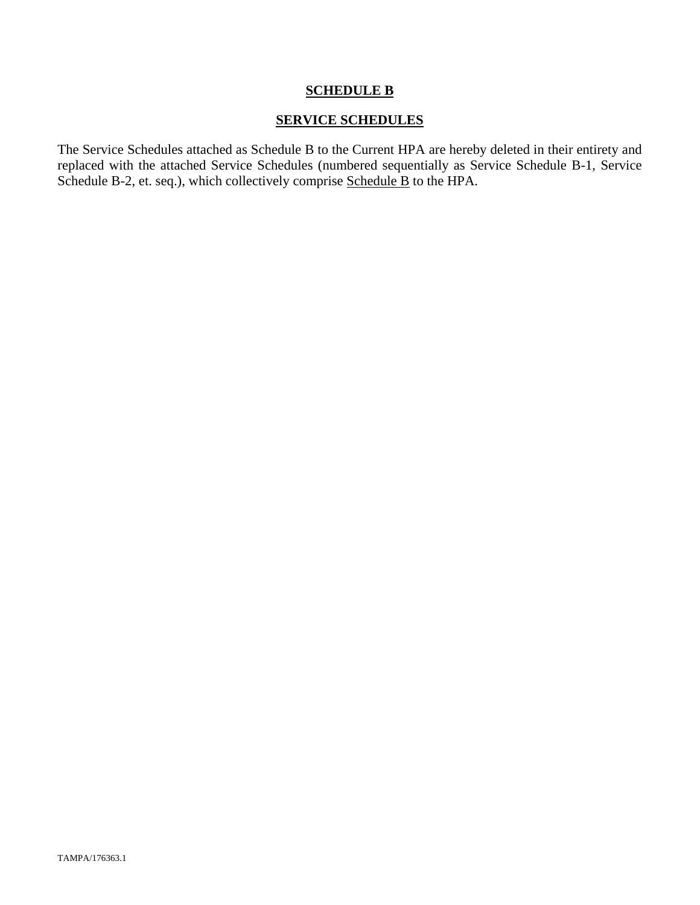#### **SERVICE SCHEDULES**

The Service Schedules attached as Schedule B to the Current HPA are hereby deleted in their entirety and replaced with the attached Service Schedules (numbered sequentially as Service Schedule B-1, Service Schedule B-2, et. seq.), which collectively comprise Schedule B to the HPA.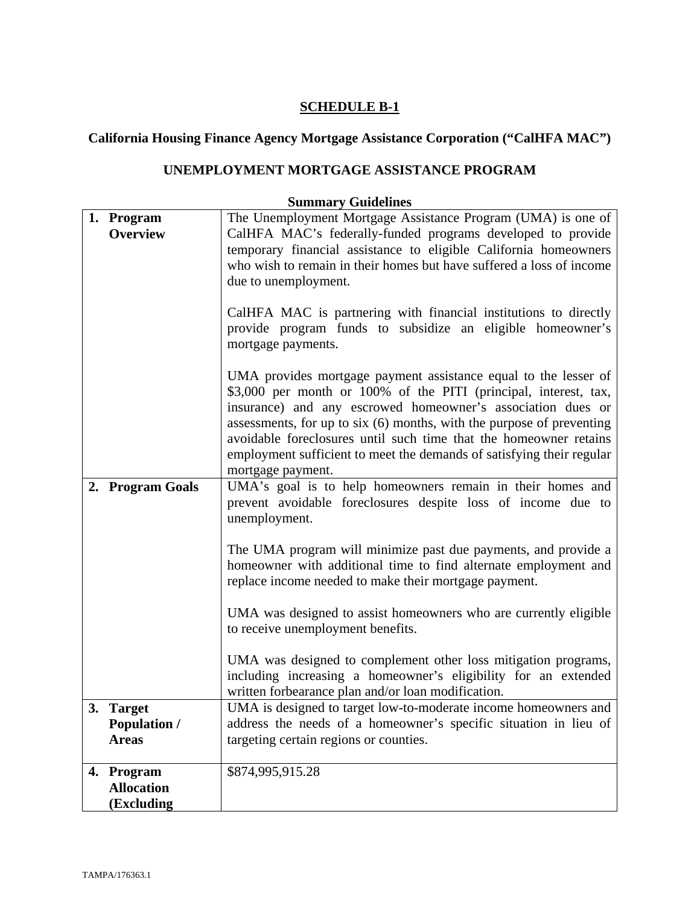# **California Housing Finance Agency Mortgage Assistance Corporation ("CalHFA MAC")**

# **UNEMPLOYMENT MORTGAGE ASSISTANCE PROGRAM**

| 1. Program          | The Unemployment Mortgage Assistance Program (UMA) is one of          |
|---------------------|-----------------------------------------------------------------------|
| Overview            | CalHFA MAC's federally-funded programs developed to provide           |
|                     | temporary financial assistance to eligible California homeowners      |
|                     | who wish to remain in their homes but have suffered a loss of income  |
|                     | due to unemployment.                                                  |
|                     |                                                                       |
|                     | CalHFA MAC is partnering with financial institutions to directly      |
|                     | provide program funds to subsidize an eligible homeowner's            |
|                     | mortgage payments.                                                    |
|                     |                                                                       |
|                     | UMA provides mortgage payment assistance equal to the lesser of       |
|                     | \$3,000 per month or 100% of the PITI (principal, interest, tax,      |
|                     | insurance) and any escrowed homeowner's association dues or           |
|                     | assessments, for up to six (6) months, with the purpose of preventing |
|                     | avoidable foreclosures until such time that the homeowner retains     |
|                     | employment sufficient to meet the demands of satisfying their regular |
|                     | mortgage payment.                                                     |
| 2. Program Goals    | UMA's goal is to help homeowners remain in their homes and            |
|                     | prevent avoidable foreclosures despite loss of income due to          |
|                     | unemployment.                                                         |
|                     |                                                                       |
|                     | The UMA program will minimize past due payments, and provide a        |
|                     | homeowner with additional time to find alternate employment and       |
|                     | replace income needed to make their mortgage payment.                 |
|                     |                                                                       |
|                     | UMA was designed to assist homeowners who are currently eligible      |
|                     | to receive unemployment benefits.                                     |
|                     |                                                                       |
|                     | UMA was designed to complement other loss mitigation programs,        |
|                     | including increasing a homeowner's eligibility for an extended        |
|                     | written forbearance plan and/or loan modification.                    |
| 3. Target           | UMA is designed to target low-to-moderate income homeowners and       |
| <b>Population /</b> | address the needs of a homeowner's specific situation in lieu of      |
| <b>Areas</b>        | targeting certain regions or counties.                                |
|                     |                                                                       |
| 4. Program          | \$874,995,915.28                                                      |
| <b>Allocation</b>   |                                                                       |
| (Excluding          |                                                                       |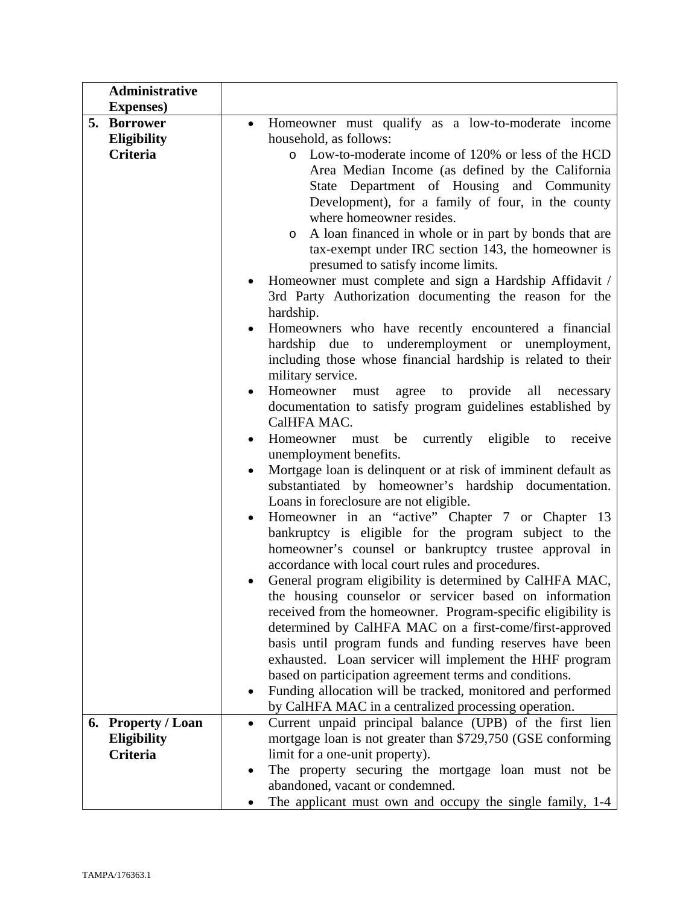| <b>Administrative</b>          |                                                                                                |
|--------------------------------|------------------------------------------------------------------------------------------------|
| <b>Expenses</b> )              |                                                                                                |
| 5.<br><b>Borrower</b>          | Homeowner must qualify as a low-to-moderate income                                             |
| Eligibility                    | household, as follows:                                                                         |
| Criteria                       | o Low-to-moderate income of 120% or less of the HCD                                            |
|                                | Area Median Income (as defined by the California                                               |
|                                | State Department of Housing and Community                                                      |
|                                | Development), for a family of four, in the county                                              |
|                                | where homeowner resides.                                                                       |
|                                | A loan financed in whole or in part by bonds that are<br>$\circ$                               |
|                                | tax-exempt under IRC section 143, the homeowner is                                             |
|                                | presumed to satisfy income limits.                                                             |
|                                | Homeowner must complete and sign a Hardship Affidavit /                                        |
|                                | 3rd Party Authorization documenting the reason for the                                         |
|                                | hardship.                                                                                      |
|                                | Homeowners who have recently encountered a financial                                           |
|                                | hardship due to underemployment or unemployment,                                               |
|                                | including those whose financial hardship is related to their                                   |
|                                | military service.                                                                              |
|                                | Homeowner must agree to provide<br>all<br>necessary                                            |
|                                | documentation to satisfy program guidelines established by                                     |
|                                | CalHFA MAC.                                                                                    |
|                                | Homeowner must be currently eligible to receive                                                |
|                                | unemployment benefits.                                                                         |
|                                | Mortgage loan is delinquent or at risk of imminent default as                                  |
|                                | substantiated by homeowner's hardship documentation.                                           |
|                                | Loans in foreclosure are not eligible.                                                         |
|                                | Homeowner in an "active" Chapter 7 or Chapter 13<br>$\bullet$                                  |
|                                | bankruptcy is eligible for the program subject to the                                          |
|                                | homeowner's counsel or bankruptcy trustee approval in                                          |
|                                | accordance with local court rules and procedures.                                              |
|                                | General program eligibility is determined by CalHFA MAC,                                       |
|                                | the housing counselor or servicer based on information                                         |
|                                | received from the homeowner. Program-specific eligibility is                                   |
|                                | determined by CalHFA MAC on a first-come/first-approved                                        |
|                                | basis until program funds and funding reserves have been                                       |
|                                | exhausted. Loan servicer will implement the HHF program                                        |
|                                | based on participation agreement terms and conditions.                                         |
|                                | Funding allocation will be tracked, monitored and performed                                    |
|                                | by CalHFA MAC in a centralized processing operation.                                           |
| <b>Property / Loan</b><br>6.   | Current unpaid principal balance (UPB) of the first lien<br>$\bullet$                          |
| <b>Eligibility</b><br>Criteria | mortgage loan is not greater than \$729,750 (GSE conforming<br>limit for a one-unit property). |
|                                |                                                                                                |
|                                |                                                                                                |
|                                | The property securing the mortgage loan must not be<br>abandoned, vacant or condemned.         |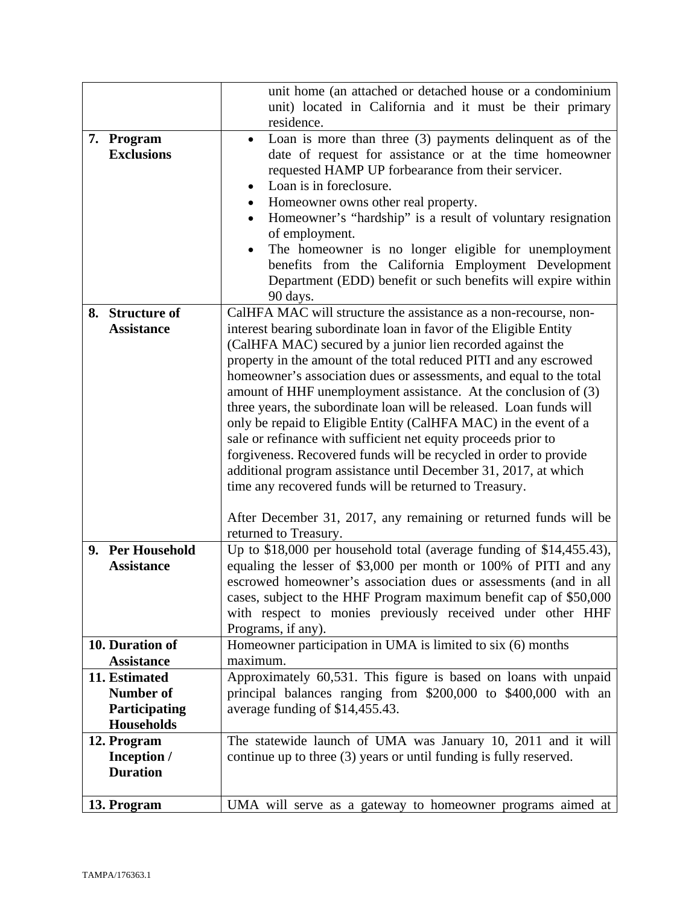|                                                                  | unit home (an attached or detached house or a condominium<br>unit) located in California and it must be their primary                                                                                                                                                                                                                                                                                                                                                                                                                                                                                                                                                                                                                                                                                                                                                                                                          |
|------------------------------------------------------------------|--------------------------------------------------------------------------------------------------------------------------------------------------------------------------------------------------------------------------------------------------------------------------------------------------------------------------------------------------------------------------------------------------------------------------------------------------------------------------------------------------------------------------------------------------------------------------------------------------------------------------------------------------------------------------------------------------------------------------------------------------------------------------------------------------------------------------------------------------------------------------------------------------------------------------------|
|                                                                  | residence.                                                                                                                                                                                                                                                                                                                                                                                                                                                                                                                                                                                                                                                                                                                                                                                                                                                                                                                     |
| 7. Program<br><b>Exclusions</b>                                  | Loan is more than three $(3)$ payments delinquent as of the<br>$\bullet$<br>date of request for assistance or at the time homeowner<br>requested HAMP UP forbearance from their servicer.<br>Loan is in foreclosure.<br>Homeowner owns other real property.<br>$\bullet$<br>Homeowner's "hardship" is a result of voluntary resignation<br>of employment.<br>The homeowner is no longer eligible for unemployment<br>benefits from the California Employment Development<br>Department (EDD) benefit or such benefits will expire within<br>90 days.                                                                                                                                                                                                                                                                                                                                                                           |
| <b>Structure of</b><br>8.<br><b>Assistance</b>                   | CalHFA MAC will structure the assistance as a non-recourse, non-<br>interest bearing subordinate loan in favor of the Eligible Entity<br>(CalHFA MAC) secured by a junior lien recorded against the<br>property in the amount of the total reduced PITI and any escrowed<br>homeowner's association dues or assessments, and equal to the total<br>amount of HHF unemployment assistance. At the conclusion of (3)<br>three years, the subordinate loan will be released. Loan funds will<br>only be repaid to Eligible Entity (CalHFA MAC) in the event of a<br>sale or refinance with sufficient net equity proceeds prior to<br>forgiveness. Recovered funds will be recycled in order to provide<br>additional program assistance until December 31, 2017, at which<br>time any recovered funds will be returned to Treasury.<br>After December 31, 2017, any remaining or returned funds will be<br>returned to Treasury. |
| 9. Per Household<br><b>Assistance</b><br>10. Duration of         | Up to \$18,000 per household total (average funding of \$14,455.43),<br>equaling the lesser of \$3,000 per month or 100% of PITI and any<br>escrowed homeowner's association dues or assessments (and in all<br>cases, subject to the HHF Program maximum benefit cap of \$50,000<br>with respect to monies previously received under other HHF<br>Programs, if any).<br>Homeowner participation in UMA is limited to six (6) months                                                                                                                                                                                                                                                                                                                                                                                                                                                                                           |
| <b>Assistance</b>                                                | maximum.                                                                                                                                                                                                                                                                                                                                                                                                                                                                                                                                                                                                                                                                                                                                                                                                                                                                                                                       |
| 11. Estimated<br>Number of<br>Participating<br><b>Households</b> | Approximately 60,531. This figure is based on loans with unpaid<br>principal balances ranging from \$200,000 to \$400,000 with an<br>average funding of \$14,455.43.                                                                                                                                                                                                                                                                                                                                                                                                                                                                                                                                                                                                                                                                                                                                                           |
| 12. Program<br>Inception /<br><b>Duration</b>                    | The statewide launch of UMA was January 10, 2011 and it will<br>continue up to three (3) years or until funding is fully reserved.                                                                                                                                                                                                                                                                                                                                                                                                                                                                                                                                                                                                                                                                                                                                                                                             |
| 13. Program                                                      | UMA will serve as a gateway to homeowner programs aimed at                                                                                                                                                                                                                                                                                                                                                                                                                                                                                                                                                                                                                                                                                                                                                                                                                                                                     |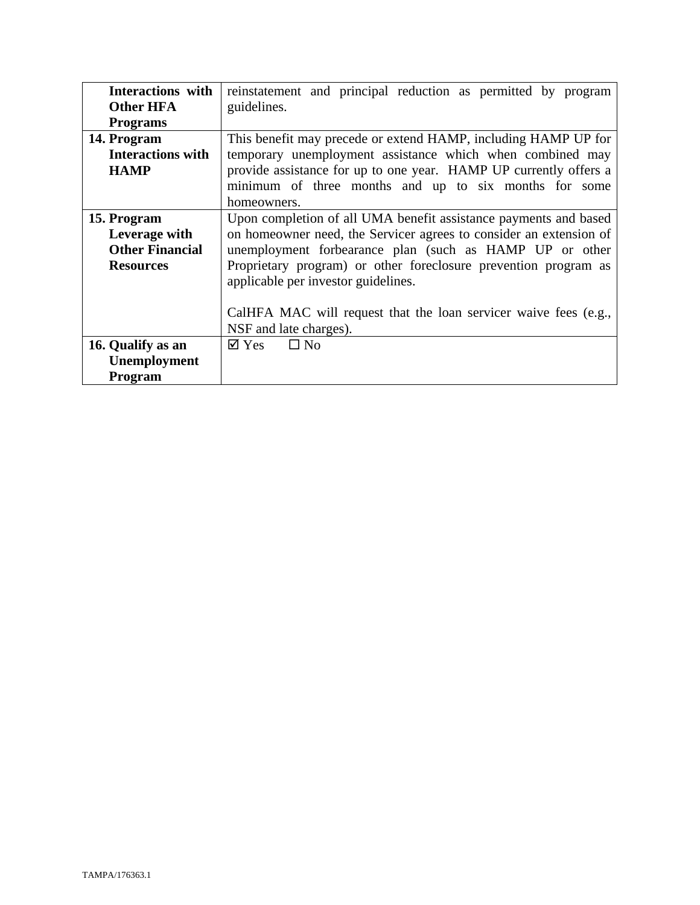| Interactions with<br><b>Other HFA</b> | reinstatement and principal reduction as permitted by program<br>guidelines. |  |
|---------------------------------------|------------------------------------------------------------------------------|--|
| <b>Programs</b>                       |                                                                              |  |
| 14. Program                           | This benefit may precede or extend HAMP, including HAMP UP for               |  |
| <b>Interactions with</b>              | temporary unemployment assistance which when combined may                    |  |
| <b>HAMP</b>                           | provide assistance for up to one year. HAMP UP currently offers a            |  |
|                                       | minimum of three months and up to six months for some                        |  |
|                                       | homeowners.                                                                  |  |
| 15. Program                           | Upon completion of all UMA benefit assistance payments and based             |  |
| Leverage with                         | on homeowner need, the Servicer agrees to consider an extension of           |  |
| <b>Other Financial</b>                | unemployment forbearance plan (such as HAMP UP or other                      |  |
| <b>Resources</b>                      | Proprietary program) or other foreclosure prevention program as              |  |
|                                       | applicable per investor guidelines.                                          |  |
|                                       |                                                                              |  |
|                                       | CalHFA MAC will request that the loan servicer waive fees (e.g.,             |  |
|                                       | NSF and late charges).                                                       |  |
| 16. Qualify as an                     | $\square$ No<br>$\boxtimes$ Yes                                              |  |
| Unemployment                          |                                                                              |  |
| Program                               |                                                                              |  |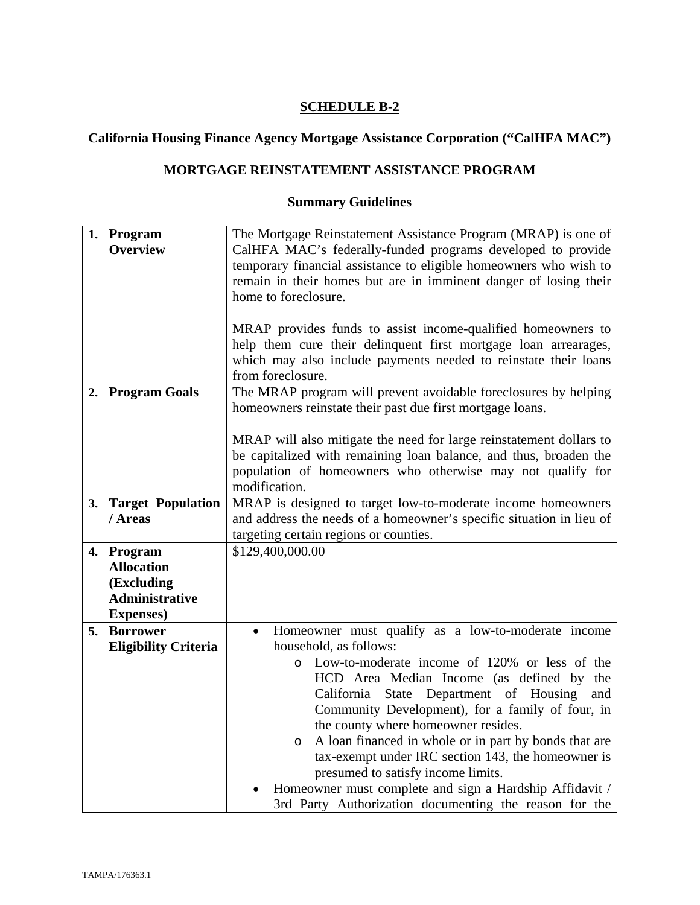# **California Housing Finance Agency Mortgage Assistance Corporation ("CalHFA MAC")**

# **MORTGAGE REINSTATEMENT ASSISTANCE PROGRAM**

|    | 1. Program                  | The Mortgage Reinstatement Assistance Program (MRAP) is one of                                                                                                                                                                                                                    |
|----|-----------------------------|-----------------------------------------------------------------------------------------------------------------------------------------------------------------------------------------------------------------------------------------------------------------------------------|
|    | <b>Overview</b>             | CalHFA MAC's federally-funded programs developed to provide                                                                                                                                                                                                                       |
|    |                             | temporary financial assistance to eligible homeowners who wish to                                                                                                                                                                                                                 |
|    |                             | remain in their homes but are in imminent danger of losing their                                                                                                                                                                                                                  |
|    |                             | home to foreclosure.                                                                                                                                                                                                                                                              |
|    |                             |                                                                                                                                                                                                                                                                                   |
|    |                             | MRAP provides funds to assist income-qualified homeowners to                                                                                                                                                                                                                      |
|    |                             | help them cure their delinquent first mortgage loan arrearages,                                                                                                                                                                                                                   |
|    |                             | which may also include payments needed to reinstate their loans                                                                                                                                                                                                                   |
|    |                             | from foreclosure.                                                                                                                                                                                                                                                                 |
|    | 2. Program Goals            | The MRAP program will prevent avoidable foreclosures by helping                                                                                                                                                                                                                   |
|    |                             | homeowners reinstate their past due first mortgage loans.                                                                                                                                                                                                                         |
|    |                             |                                                                                                                                                                                                                                                                                   |
|    |                             | MRAP will also mitigate the need for large reinstatement dollars to                                                                                                                                                                                                               |
|    |                             | be capitalized with remaining loan balance, and thus, broaden the                                                                                                                                                                                                                 |
|    |                             | population of homeowners who otherwise may not qualify for                                                                                                                                                                                                                        |
|    |                             | modification.                                                                                                                                                                                                                                                                     |
|    | 3. Target Population        | MRAP is designed to target low-to-moderate income homeowners                                                                                                                                                                                                                      |
|    | / Areas                     | and address the needs of a homeowner's specific situation in lieu of                                                                                                                                                                                                              |
|    |                             | targeting certain regions or counties.                                                                                                                                                                                                                                            |
|    | 4. Program                  | \$129,400,000.00                                                                                                                                                                                                                                                                  |
|    | <b>Allocation</b>           |                                                                                                                                                                                                                                                                                   |
|    | (Excluding                  |                                                                                                                                                                                                                                                                                   |
|    | <b>Administrative</b>       |                                                                                                                                                                                                                                                                                   |
|    | <b>Expenses</b> )           |                                                                                                                                                                                                                                                                                   |
| 5. | <b>Borrower</b>             | Homeowner must qualify as a low-to-moderate income<br>$\bullet$                                                                                                                                                                                                                   |
|    | <b>Eligibility Criteria</b> | household, as follows:                                                                                                                                                                                                                                                            |
|    |                             | Low-to-moderate income of 120% or less of the<br>$\circ$                                                                                                                                                                                                                          |
|    |                             | HCD Area Median Income (as defined by the                                                                                                                                                                                                                                         |
|    |                             | State Department of Housing<br>California<br>and                                                                                                                                                                                                                                  |
|    |                             | Community Development), for a family of four, in                                                                                                                                                                                                                                  |
|    |                             | the county where homeowner resides.                                                                                                                                                                                                                                               |
|    |                             |                                                                                                                                                                                                                                                                                   |
|    |                             |                                                                                                                                                                                                                                                                                   |
|    |                             |                                                                                                                                                                                                                                                                                   |
|    |                             |                                                                                                                                                                                                                                                                                   |
|    |                             | A loan financed in whole or in part by bonds that are<br>$\circ$<br>tax-exempt under IRC section 143, the homeowner is<br>presumed to satisfy income limits.<br>Homeowner must complete and sign a Hardship Affidavit /<br>3rd Party Authorization documenting the reason for the |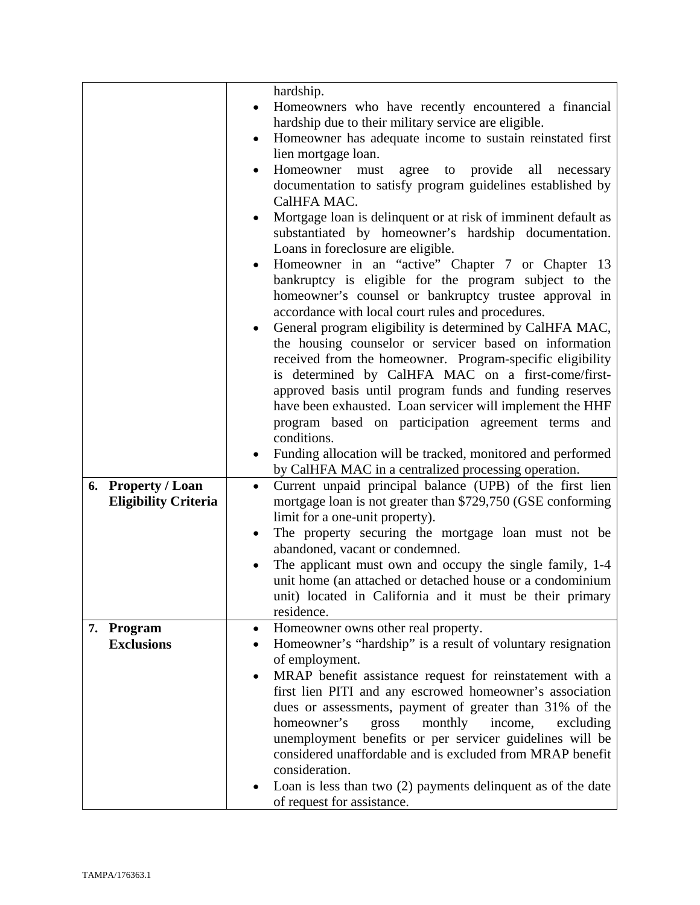|                             | hardship.                                                              |
|-----------------------------|------------------------------------------------------------------------|
|                             | Homeowners who have recently encountered a financial                   |
|                             | hardship due to their military service are eligible.                   |
|                             | Homeowner has adequate income to sustain reinstated first<br>$\bullet$ |
|                             | lien mortgage loan.                                                    |
|                             |                                                                        |
|                             | Homeowner must<br>agree to provide all necessary                       |
|                             | documentation to satisfy program guidelines established by             |
|                             | CalHFA MAC.                                                            |
|                             | Mortgage loan is delinquent or at risk of imminent default as<br>٠     |
|                             | substantiated by homeowner's hardship documentation.                   |
|                             | Loans in foreclosure are eligible.                                     |
|                             | Homeowner in an "active" Chapter 7 or Chapter 13                       |
|                             | bankruptcy is eligible for the program subject to the                  |
|                             | homeowner's counsel or bankruptcy trustee approval in                  |
|                             | accordance with local court rules and procedures.                      |
|                             | General program eligibility is determined by CalHFA MAC,               |
|                             | the housing counselor or servicer based on information                 |
|                             | received from the homeowner. Program-specific eligibility              |
|                             | is determined by CalHFA MAC on a first-come/first-                     |
|                             |                                                                        |
|                             | approved basis until program funds and funding reserves                |
|                             | have been exhausted. Loan servicer will implement the HHF              |
|                             | program based on participation agreement terms and                     |
|                             | conditions.                                                            |
|                             | Funding allocation will be tracked, monitored and performed<br>٠       |
|                             | by CalHFA MAC in a centralized processing operation.                   |
| 6. Property / Loan          | Current unpaid principal balance (UPB) of the first lien<br>$\bullet$  |
| <b>Eligibility Criteria</b> | mortgage loan is not greater than \$729,750 (GSE conforming            |
|                             | limit for a one-unit property).                                        |
|                             | The property securing the mortgage loan must not be                    |
|                             | abandoned, vacant or condemned.                                        |
|                             | The applicant must own and occupy the single family, 1-4               |
|                             | unit home (an attached or detached house or a condominium              |
|                             | unit) located in California and it must be their primary               |
|                             | residence.                                                             |
| Program<br>7.               | Homeowner owns other real property.<br>$\bullet$                       |
| <b>Exclusions</b>           | Homeowner's "hardship" is a result of voluntary resignation            |
|                             | of employment.                                                         |
|                             |                                                                        |
|                             | MRAP benefit assistance request for reinstatement with a               |
|                             | first lien PITI and any escrowed homeowner's association               |
|                             | dues or assessments, payment of greater than 31% of the                |
|                             | homeowner's<br>gross<br>monthly<br>income,<br>excluding                |
|                             | unemployment benefits or per servicer guidelines will be               |
|                             | considered unaffordable and is excluded from MRAP benefit              |
|                             | consideration.                                                         |
|                             | Loan is less than two $(2)$ payments delinquent as of the date         |
|                             | of request for assistance.                                             |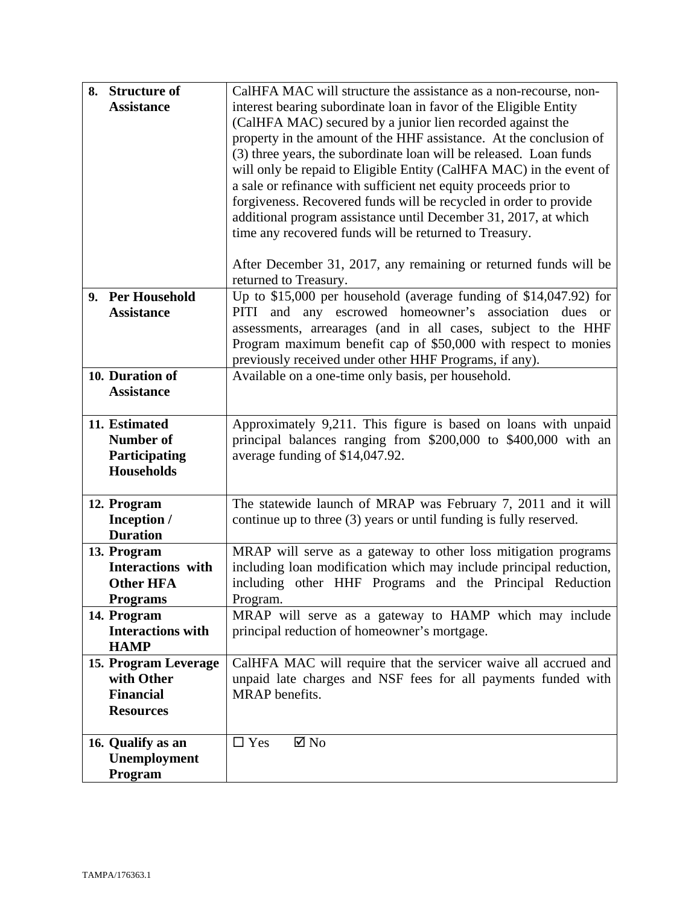| 8. Structure of          | CalHFA MAC will structure the assistance as a non-recourse, non-     |
|--------------------------|----------------------------------------------------------------------|
| <b>Assistance</b>        | interest bearing subordinate loan in favor of the Eligible Entity    |
|                          | (CalHFA MAC) secured by a junior lien recorded against the           |
|                          | property in the amount of the HHF assistance. At the conclusion of   |
|                          | (3) three years, the subordinate loan will be released. Loan funds   |
|                          | will only be repaid to Eligible Entity (CalHFA MAC) in the event of  |
|                          | a sale or refinance with sufficient net equity proceeds prior to     |
|                          | forgiveness. Recovered funds will be recycled in order to provide    |
|                          | additional program assistance until December 31, 2017, at which      |
|                          | time any recovered funds will be returned to Treasury.               |
|                          |                                                                      |
|                          | After December 31, 2017, any remaining or returned funds will be     |
|                          | returned to Treasury.                                                |
| 9. Per Household         | Up to $$15,000$ per household (average funding of $$14,047.92$ ) for |
| <b>Assistance</b>        | and any escrowed homeowner's association dues or<br>PITI             |
|                          | assessments, arrearages (and in all cases, subject to the HHF        |
|                          | Program maximum benefit cap of \$50,000 with respect to monies       |
|                          | previously received under other HHF Programs, if any).               |
| 10. Duration of          | Available on a one-time only basis, per household.                   |
| <b>Assistance</b>        |                                                                      |
|                          |                                                                      |
| 11. Estimated            | Approximately 9,211. This figure is based on loans with unpaid       |
| <b>Number of</b>         | principal balances ranging from \$200,000 to \$400,000 with an       |
| Participating            | average funding of \$14,047.92.                                      |
| <b>Households</b>        |                                                                      |
|                          |                                                                      |
| 12. Program              | The statewide launch of MRAP was February 7, 2011 and it will        |
| Inception /              | continue up to three (3) years or until funding is fully reserved.   |
| <b>Duration</b>          |                                                                      |
| 13. Program              | MRAP will serve as a gateway to other loss mitigation programs       |
| <b>Interactions</b> with | including loan modification which may include principal reduction,   |
| <b>Other HFA</b>         | including other HHF Programs and the Principal Reduction             |
| <b>Programs</b>          | Program.                                                             |
| 14. Program              | MRAP will serve as a gateway to HAMP which may include               |
| <b>Interactions with</b> | principal reduction of homeowner's mortgage.                         |
| <b>HAMP</b>              |                                                                      |
| 15. Program Leverage     | CalHFA MAC will require that the servicer waive all accrued and      |
| with Other               | unpaid late charges and NSF fees for all payments funded with        |
| <b>Financial</b>         | MRAP benefits.                                                       |
| <b>Resources</b>         |                                                                      |
| 16. Qualify as an        | $\Box$ Yes<br>$\boxtimes$ No                                         |
| Unemployment             |                                                                      |
| Program                  |                                                                      |
|                          |                                                                      |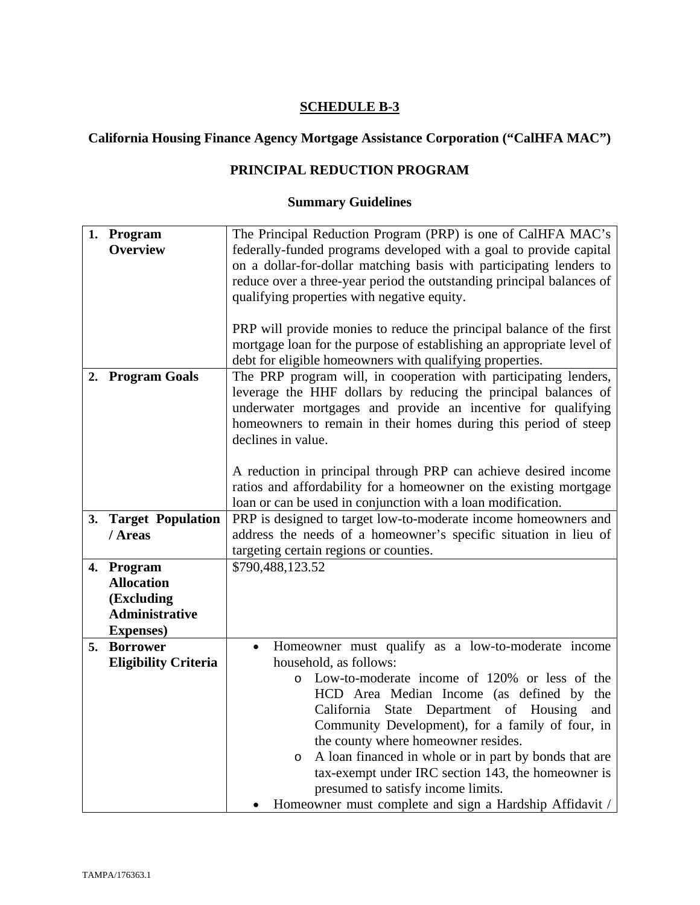# **California Housing Finance Agency Mortgage Assistance Corporation ("CalHFA MAC")**

# **PRINCIPAL REDUCTION PROGRAM**

|    | 1. Program                      | The Principal Reduction Program (PRP) is one of CalHFA MAC's          |
|----|---------------------------------|-----------------------------------------------------------------------|
|    | <b>Overview</b>                 | federally-funded programs developed with a goal to provide capital    |
|    |                                 | on a dollar-for-dollar matching basis with participating lenders to   |
|    |                                 | reduce over a three-year period the outstanding principal balances of |
|    |                                 |                                                                       |
|    |                                 | qualifying properties with negative equity.                           |
|    |                                 |                                                                       |
|    |                                 | PRP will provide monies to reduce the principal balance of the first  |
|    |                                 | mortgage loan for the purpose of establishing an appropriate level of |
|    |                                 | debt for eligible homeowners with qualifying properties.              |
|    | 2. Program Goals                | The PRP program will, in cooperation with participating lenders,      |
|    |                                 | leverage the HHF dollars by reducing the principal balances of        |
|    |                                 | underwater mortgages and provide an incentive for qualifying          |
|    |                                 | homeowners to remain in their homes during this period of steep       |
|    |                                 | declines in value.                                                    |
|    |                                 |                                                                       |
|    |                                 | A reduction in principal through PRP can achieve desired income       |
|    |                                 | ratios and affordability for a homeowner on the existing mortgage     |
|    |                                 | loan or can be used in conjunction with a loan modification.          |
|    | 3. Target Population            | PRP is designed to target low-to-moderate income homeowners and       |
|    | / Areas                         | address the needs of a homeowner's specific situation in lieu of      |
|    |                                 | targeting certain regions or counties.                                |
|    |                                 | \$790,488,123.52                                                      |
|    | 4. Program<br><b>Allocation</b> |                                                                       |
|    |                                 |                                                                       |
|    | (Excluding                      |                                                                       |
|    | <b>Administrative</b>           |                                                                       |
|    | <b>Expenses</b> )               |                                                                       |
| 5. | <b>Borrower</b>                 | Homeowner must qualify as a low-to-moderate income<br>$\bullet$       |
|    | <b>Eligibility Criteria</b>     | household, as follows:                                                |
|    |                                 | Low-to-moderate income of 120% or less of the<br>$\circ$              |
|    |                                 | HCD Area Median Income (as defined by the                             |
|    |                                 | State Department of Housing<br>California<br>and                      |
|    |                                 | Community Development), for a family of four, in                      |
|    |                                 | the county where homeowner resides.                                   |
|    |                                 | A loan financed in whole or in part by bonds that are<br>$\circ$      |
|    |                                 | tax-exempt under IRC section 143, the homeowner is                    |
|    |                                 | presumed to satisfy income limits.                                    |
|    |                                 | Homeowner must complete and sign a Hardship Affidavit /               |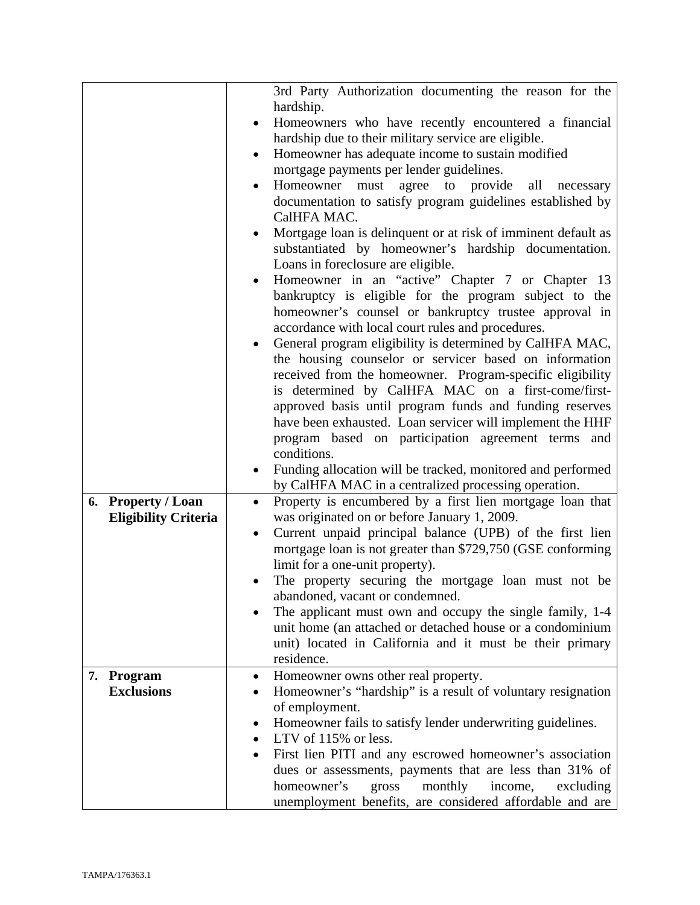|                             | 3rd Party Authorization documenting the reason for the                 |
|-----------------------------|------------------------------------------------------------------------|
|                             | hardship.                                                              |
|                             | Homeowners who have recently encountered a financial                   |
|                             | hardship due to their military service are eligible.                   |
|                             | Homeowner has adequate income to sustain modified<br>$\bullet$         |
|                             | mortgage payments per lender guidelines.                               |
|                             | Homeowner must agree to provide<br>all<br>necessary                    |
|                             | documentation to satisfy program guidelines established by             |
|                             | CalHFA MAC.                                                            |
|                             | Mortgage loan is delinquent or at risk of imminent default as<br>٠     |
|                             | substantiated by homeowner's hardship documentation.                   |
|                             | Loans in foreclosure are eligible.                                     |
|                             | Homeowner in an "active" Chapter 7 or Chapter 13                       |
|                             | bankruptcy is eligible for the program subject to the                  |
|                             | homeowner's counsel or bankruptcy trustee approval in                  |
|                             | accordance with local court rules and procedures.                      |
|                             | General program eligibility is determined by CalHFA MAC,               |
|                             | the housing counselor or servicer based on information                 |
|                             | received from the homeowner. Program-specific eligibility              |
|                             | is determined by CalHFA MAC on a first-come/first-                     |
|                             | approved basis until program funds and funding reserves                |
|                             | have been exhausted. Loan servicer will implement the HHF              |
|                             | program based on participation agreement terms and                     |
|                             | conditions.                                                            |
|                             | Funding allocation will be tracked, monitored and performed            |
|                             | by CalHFA MAC in a centralized processing operation.                   |
| 6. Property / Loan          | Property is encumbered by a first lien mortgage loan that<br>$\bullet$ |
| <b>Eligibility Criteria</b> | was originated on or before January 1, 2009.                           |
|                             | Current unpaid principal balance (UPB) of the first lien<br>٠          |
|                             | mortgage loan is not greater than \$729,750 (GSE conforming            |
|                             | limit for a one-unit property).                                        |
|                             | The property securing the mortgage loan must not be                    |
|                             | abandoned, vacant or condemned.                                        |
|                             | The applicant must own and occupy the single family, 1-4               |
|                             | unit home (an attached or detached house or a condominium              |
|                             | unit) located in California and it must be their primary               |
|                             | residence.                                                             |
| 7. Program                  | Homeowner owns other real property.<br>٠                               |
| <b>Exclusions</b>           | Homeowner's "hardship" is a result of voluntary resignation            |
|                             | of employment.                                                         |
|                             | Homeowner fails to satisfy lender underwriting guidelines.             |
|                             | ٠<br>LTV of 115% or less.<br>$\bullet$                                 |
|                             |                                                                        |
|                             | First lien PITI and any escrowed homeowner's association               |
|                             | dues or assessments, payments that are less than 31% of                |
|                             | homeowner's<br>monthly<br>gross<br>income,<br>excluding                |
|                             | unemployment benefits, are considered affordable and are               |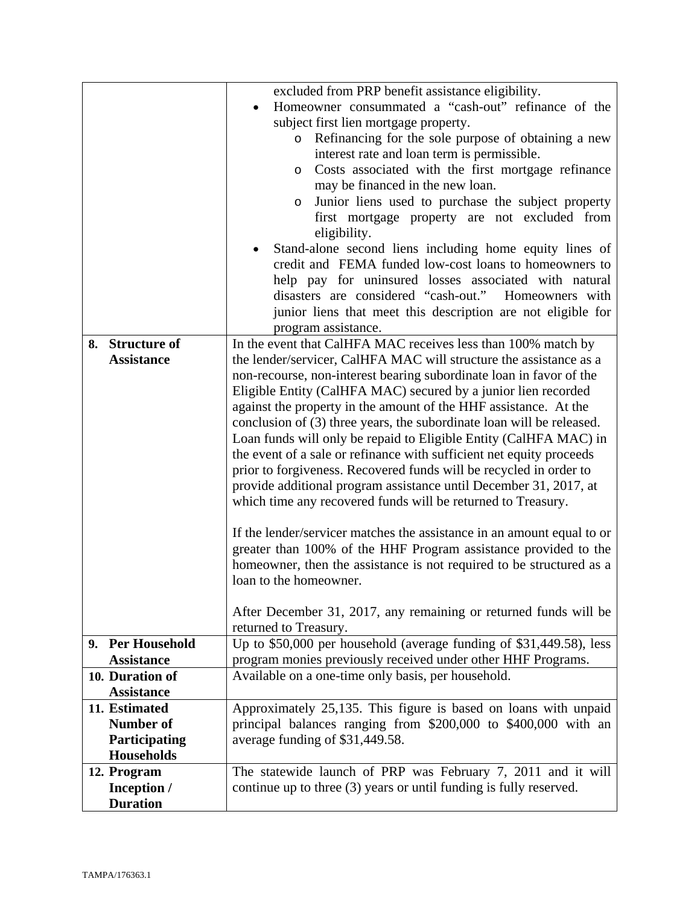|                                                                         | excluded from PRP benefit assistance eligibility.<br>Homeowner consummated a "cash-out" refinance of the<br>subject first lien mortgage property.<br>Refinancing for the sole purpose of obtaining a new<br>$\circ$<br>interest rate and loan term is permissible.<br>Costs associated with the first mortgage refinance<br>O<br>may be financed in the new loan.<br>Junior liens used to purchase the subject property<br>$\circ$<br>first mortgage property are not excluded from<br>eligibility.<br>Stand-alone second liens including home equity lines of<br>credit and FEMA funded low-cost loans to homeowners to                                                                                                                                                                                                                                                                                                                                                                                                                                                                                                      |
|-------------------------------------------------------------------------|-------------------------------------------------------------------------------------------------------------------------------------------------------------------------------------------------------------------------------------------------------------------------------------------------------------------------------------------------------------------------------------------------------------------------------------------------------------------------------------------------------------------------------------------------------------------------------------------------------------------------------------------------------------------------------------------------------------------------------------------------------------------------------------------------------------------------------------------------------------------------------------------------------------------------------------------------------------------------------------------------------------------------------------------------------------------------------------------------------------------------------|
|                                                                         | help pay for uninsured losses associated with natural<br>disasters are considered "cash-out."<br>Homeowners with<br>junior liens that meet this description are not eligible for<br>program assistance.                                                                                                                                                                                                                                                                                                                                                                                                                                                                                                                                                                                                                                                                                                                                                                                                                                                                                                                       |
| <b>Structure of</b><br>8.<br><b>Assistance</b>                          | In the event that CalHFA MAC receives less than 100% match by<br>the lender/servicer, CalHFA MAC will structure the assistance as a<br>non-recourse, non-interest bearing subordinate loan in favor of the<br>Eligible Entity (CalHFA MAC) secured by a junior lien recorded<br>against the property in the amount of the HHF assistance. At the<br>conclusion of (3) three years, the subordinate loan will be released.<br>Loan funds will only be repaid to Eligible Entity (CalHFA MAC) in<br>the event of a sale or refinance with sufficient net equity proceeds<br>prior to forgiveness. Recovered funds will be recycled in order to<br>provide additional program assistance until December 31, 2017, at<br>which time any recovered funds will be returned to Treasury.<br>If the lender/servicer matches the assistance in an amount equal to or<br>greater than 100% of the HHF Program assistance provided to the<br>homeowner, then the assistance is not required to be structured as a<br>loan to the homeowner.<br>After December 31, 2017, any remaining or returned funds will be<br>returned to Treasury. |
| 9. Per Household<br><b>Assistance</b>                                   | Up to \$50,000 per household (average funding of \$31,449.58), less<br>program monies previously received under other HHF Programs.                                                                                                                                                                                                                                                                                                                                                                                                                                                                                                                                                                                                                                                                                                                                                                                                                                                                                                                                                                                           |
| 10. Duration of<br><b>Assistance</b>                                    | Available on a one-time only basis, per household.                                                                                                                                                                                                                                                                                                                                                                                                                                                                                                                                                                                                                                                                                                                                                                                                                                                                                                                                                                                                                                                                            |
| 11. Estimated<br><b>Number of</b><br>Participating<br><b>Households</b> | Approximately 25,135. This figure is based on loans with unpaid<br>principal balances ranging from \$200,000 to \$400,000 with an<br>average funding of \$31,449.58.                                                                                                                                                                                                                                                                                                                                                                                                                                                                                                                                                                                                                                                                                                                                                                                                                                                                                                                                                          |
| 12. Program<br>Inception /<br><b>Duration</b>                           | The statewide launch of PRP was February 7, 2011 and it will<br>continue up to three (3) years or until funding is fully reserved.                                                                                                                                                                                                                                                                                                                                                                                                                                                                                                                                                                                                                                                                                                                                                                                                                                                                                                                                                                                            |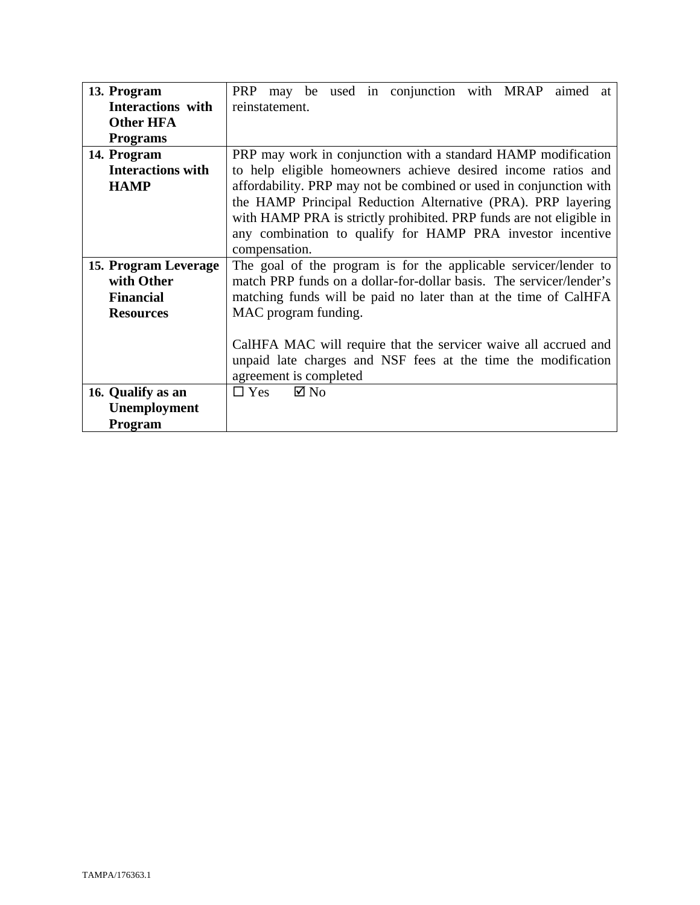| 13. Program              | PRP may be used in conjunction with MRAP aimed<br>at                |
|--------------------------|---------------------------------------------------------------------|
| Interactions with        | reinstatement.                                                      |
| <b>Other HFA</b>         |                                                                     |
| <b>Programs</b>          |                                                                     |
| 14. Program              | PRP may work in conjunction with a standard HAMP modification       |
| <b>Interactions with</b> | to help eligible homeowners achieve desired income ratios and       |
| <b>HAMP</b>              | affordability. PRP may not be combined or used in conjunction with  |
|                          | the HAMP Principal Reduction Alternative (PRA). PRP layering        |
|                          | with HAMP PRA is strictly prohibited. PRP funds are not eligible in |
|                          | any combination to qualify for HAMP PRA investor incentive          |
|                          | compensation.                                                       |
| 15. Program Leverage     | The goal of the program is for the applicable servicer/lender to    |
| with Other               | match PRP funds on a dollar-for-dollar basis. The servicer/lender's |
| <b>Financial</b>         | matching funds will be paid no later than at the time of CalHFA     |
| <b>Resources</b>         | MAC program funding.                                                |
|                          |                                                                     |
|                          | CalHFA MAC will require that the servicer waive all accrued and     |
|                          | unpaid late charges and NSF fees at the time the modification       |
|                          | agreement is completed                                              |
| 16. Qualify as an        | $\boxtimes$ No<br>$\Box$ Yes                                        |
| Unemployment             |                                                                     |
| <b>Program</b>           |                                                                     |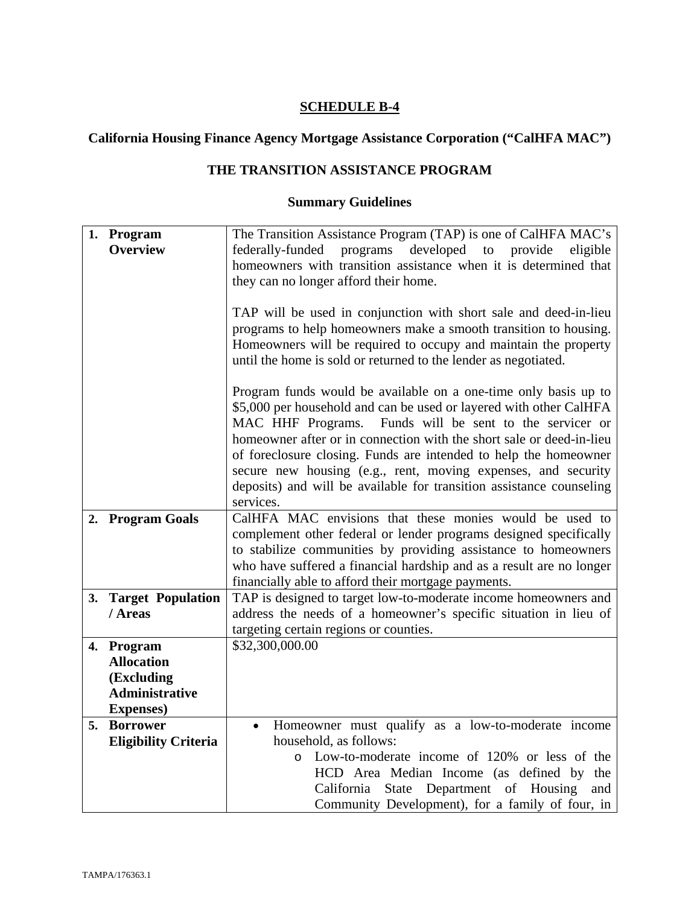# **California Housing Finance Agency Mortgage Assistance Corporation ("CalHFA MAC")**

# **THE TRANSITION ASSISTANCE PROGRAM**

|    | 1. Program                  | The Transition Assistance Program (TAP) is one of CalHFA MAC's       |
|----|-----------------------------|----------------------------------------------------------------------|
|    | <b>Overview</b>             | federally-funded programs developed to provide<br>eligible           |
|    |                             | homeowners with transition assistance when it is determined that     |
|    |                             | they can no longer afford their home.                                |
|    |                             |                                                                      |
|    |                             | TAP will be used in conjunction with short sale and deed-in-lieu     |
|    |                             | programs to help homeowners make a smooth transition to housing.     |
|    |                             | Homeowners will be required to occupy and maintain the property      |
|    |                             | until the home is sold or returned to the lender as negotiated.      |
|    |                             |                                                                      |
|    |                             | Program funds would be available on a one-time only basis up to      |
|    |                             | \$5,000 per household and can be used or layered with other CalHFA   |
|    |                             | MAC HHF Programs. Funds will be sent to the servicer or              |
|    |                             | homeowner after or in connection with the short sale or deed-in-lieu |
|    |                             | of foreclosure closing. Funds are intended to help the homeowner     |
|    |                             | secure new housing (e.g., rent, moving expenses, and security        |
|    |                             | deposits) and will be available for transition assistance counseling |
|    |                             | services.                                                            |
|    | 2. Program Goals            | CalHFA MAC envisions that these monies would be used to              |
|    |                             | complement other federal or lender programs designed specifically    |
|    |                             | to stabilize communities by providing assistance to homeowners       |
|    |                             |                                                                      |
|    |                             | who have suffered a financial hardship and as a result are no longer |
|    |                             | financially able to afford their mortgage payments.                  |
|    | 3. Target Population        | TAP is designed to target low-to-moderate income homeowners and      |
|    | / Areas                     | address the needs of a homeowner's specific situation in lieu of     |
|    |                             | targeting certain regions or counties.                               |
|    | 4. Program                  | \$32,300,000.00                                                      |
|    | <b>Allocation</b>           |                                                                      |
|    | (Excluding                  |                                                                      |
|    | <b>Administrative</b>       |                                                                      |
|    | <b>Expenses</b> )           |                                                                      |
| 5. | <b>Borrower</b>             | Homeowner must qualify as a low-to-moderate income<br>$\bullet$      |
|    | <b>Eligibility Criteria</b> | household, as follows:                                               |
|    |                             | Low-to-moderate income of 120% or less of the<br>$\circ$             |
|    |                             | HCD Area Median Income (as defined by the                            |
|    |                             | State Department of Housing<br>California<br>and                     |
|    |                             | Community Development), for a family of four, in                     |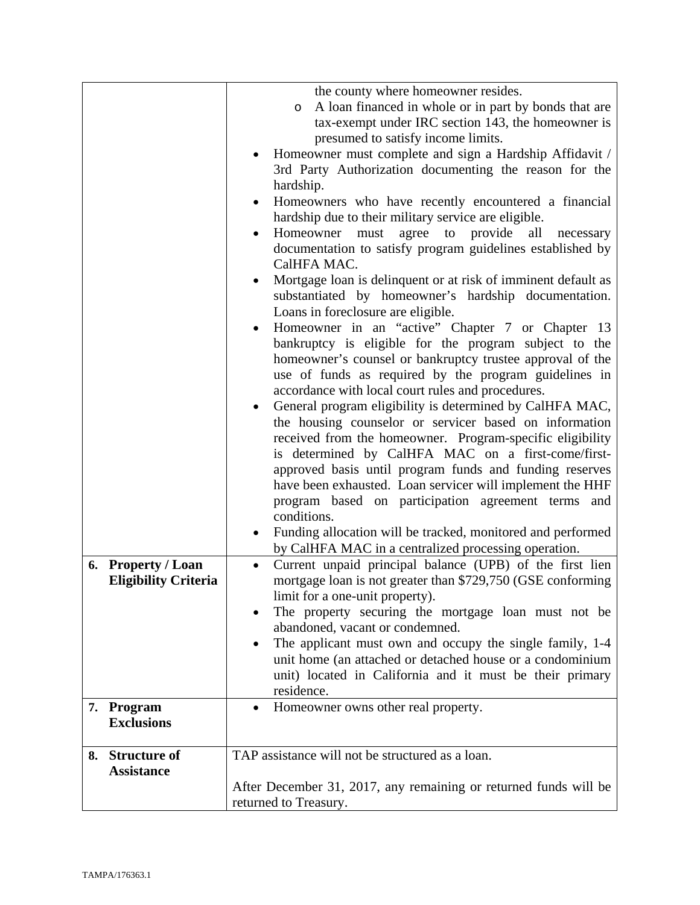|                             | the county where homeowner resides.                                   |
|-----------------------------|-----------------------------------------------------------------------|
|                             | A loan financed in whole or in part by bonds that are<br>$\circ$      |
|                             | tax-exempt under IRC section 143, the homeowner is                    |
|                             | presumed to satisfy income limits.                                    |
|                             | Homeowner must complete and sign a Hardship Affidavit /               |
|                             | 3rd Party Authorization documenting the reason for the                |
|                             | hardship.                                                             |
|                             | Homeowners who have recently encountered a financial                  |
|                             | hardship due to their military service are eligible.                  |
|                             | Homeowner<br>agree<br>to<br>provide<br>must<br>all<br>necessary<br>٠  |
|                             | documentation to satisfy program guidelines established by            |
|                             | CalHFA MAC.                                                           |
|                             | Mortgage loan is delinquent or at risk of imminent default as         |
|                             | substantiated by homeowner's hardship documentation.                  |
|                             | Loans in foreclosure are eligible.                                    |
|                             | Homeowner in an "active" Chapter 7 or Chapter 13                      |
|                             | bankruptcy is eligible for the program subject to the                 |
|                             | homeowner's counsel or bankruptcy trustee approval of the             |
|                             | use of funds as required by the program guidelines in                 |
|                             | accordance with local court rules and procedures.                     |
|                             | General program eligibility is determined by CalHFA MAC,              |
|                             | the housing counselor or servicer based on information                |
|                             | received from the homeowner. Program-specific eligibility             |
|                             | is determined by CalHFA MAC on a first-come/first-                    |
|                             | approved basis until program funds and funding reserves               |
|                             | have been exhausted. Loan servicer will implement the HHF             |
|                             | program based on participation agreement terms and                    |
|                             | conditions.                                                           |
|                             | Funding allocation will be tracked, monitored and performed           |
|                             | by CalHFA MAC in a centralized processing operation.                  |
| 6. Property / Loan          | Current unpaid principal balance (UPB) of the first lien<br>$\bullet$ |
| <b>Eligibility Criteria</b> | mortgage loan is not greater than \$729,750 (GSE conforming           |
|                             | limit for a one-unit property).                                       |
|                             | The property securing the mortgage loan must not be                   |
|                             | abandoned, vacant or condemned.                                       |
|                             | The applicant must own and occupy the single family, 1-4              |
|                             | unit home (an attached or detached house or a condominium             |
|                             | unit) located in California and it must be their primary              |
|                             | residence.                                                            |
| 7. Program                  | Homeowner owns other real property.<br>$\bullet$                      |
| <b>Exclusions</b>           |                                                                       |
|                             |                                                                       |
| 8. Structure of             | TAP assistance will not be structured as a loan.                      |
| <b>Assistance</b>           |                                                                       |
|                             | After December 31, 2017, any remaining or returned funds will be      |
|                             | returned to Treasury.                                                 |